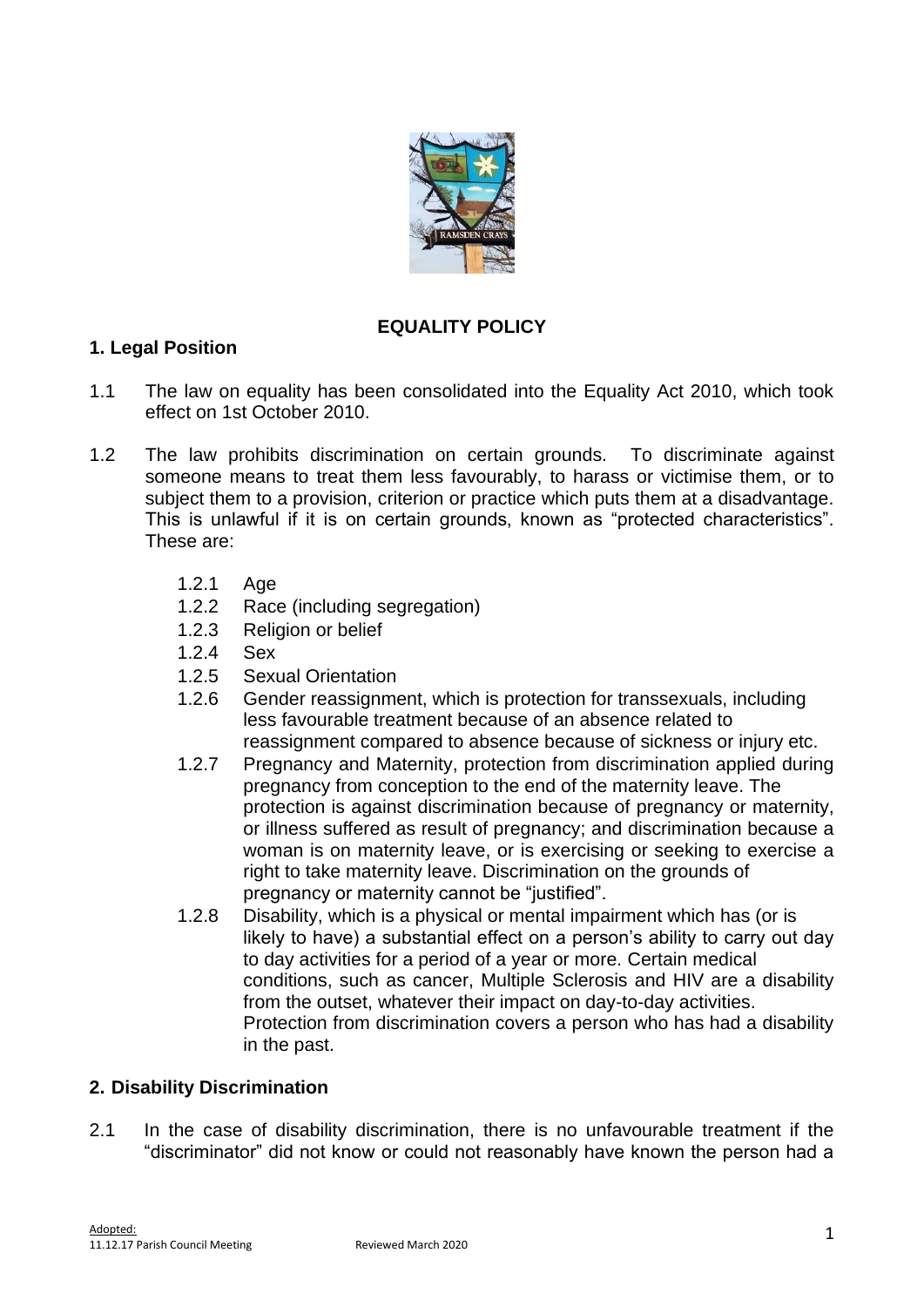

# **EQUALITY POLICY**

### **1. Legal Position**

- 1.1 The law on equality has been consolidated into the Equality Act 2010, which took effect on 1st October 2010.
- 1.2 The law prohibits discrimination on certain grounds. To discriminate against someone means to treat them less favourably, to harass or victimise them, or to subject them to a provision, criterion or practice which puts them at a disadvantage. This is unlawful if it is on certain grounds, known as "protected characteristics". These are:
	- 1.2.1 Age
	- 1.2.2 Race (including segregation)
	- 1.2.3 Religion or belief
	- 1.2.4 Sex
	- 1.2.5 Sexual Orientation
	- 1.2.6 Gender reassignment, which is protection for transsexuals, including less favourable treatment because of an absence related to reassignment compared to absence because of sickness or injury etc.
	- 1.2.7 Pregnancy and Maternity, protection from discrimination applied during pregnancy from conception to the end of the maternity leave. The protection is against discrimination because of pregnancy or maternity, or illness suffered as result of pregnancy; and discrimination because a woman is on maternity leave, or is exercising or seeking to exercise a right to take maternity leave. Discrimination on the grounds of pregnancy or maternity cannot be "justified".
	- 1.2.8 Disability, which is a physical or mental impairment which has (or is likely to have) a substantial effect on a person's ability to carry out day to day activities for a period of a year or more. Certain medical conditions, such as cancer, Multiple Sclerosis and HIV are a disability from the outset, whatever their impact on day-to-day activities. Protection from discrimination covers a person who has had a disability in the past.

### **2. Disability Discrimination**

2.1 In the case of disability discrimination, there is no unfavourable treatment if the "discriminator" did not know or could not reasonably have known the person had a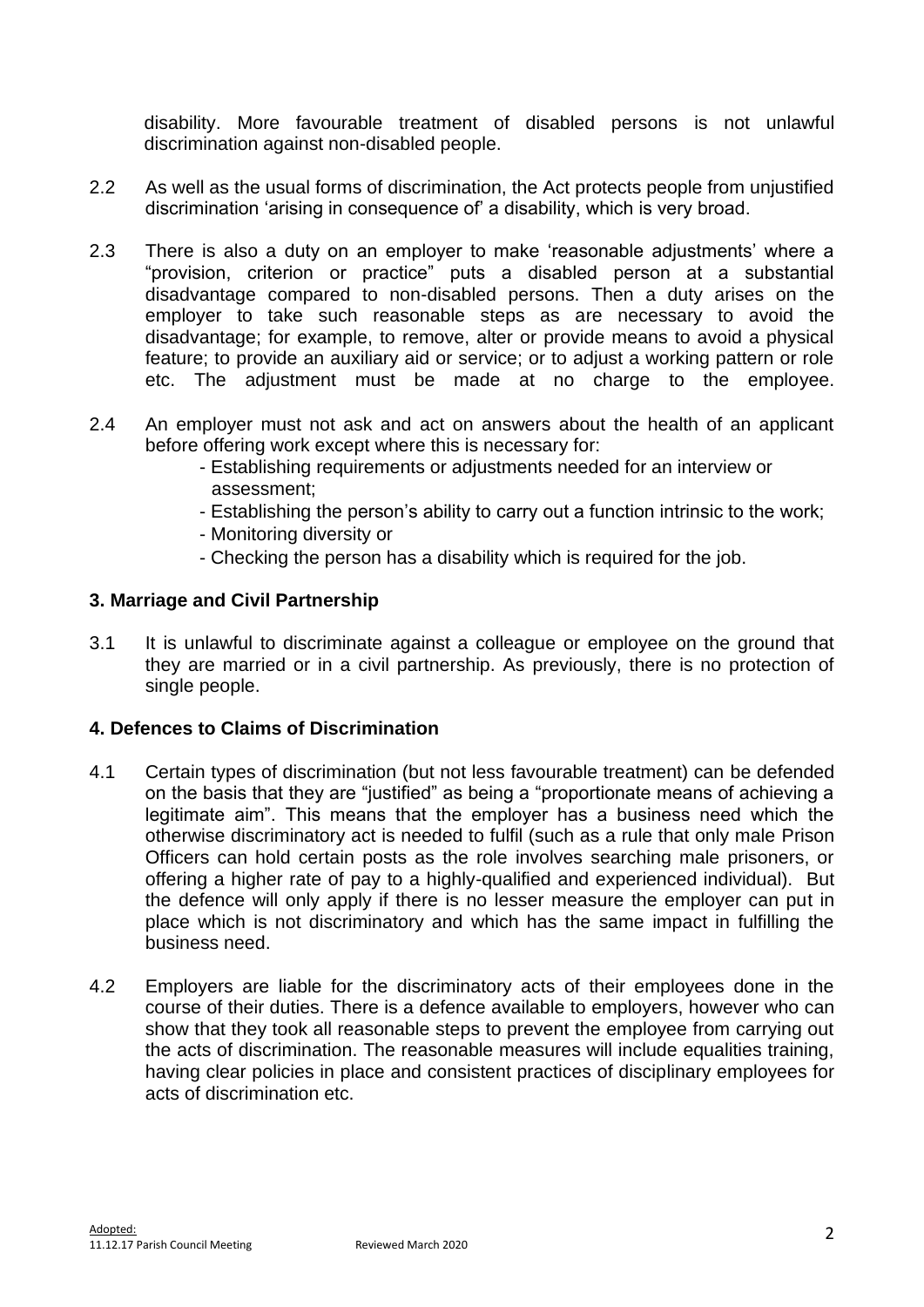disability. More favourable treatment of disabled persons is not unlawful discrimination against non-disabled people.

- 2.2 As well as the usual forms of discrimination, the Act protects people from unjustified discrimination 'arising in consequence of' a disability, which is very broad.
- 2.3 There is also a duty on an employer to make 'reasonable adjustments' where a "provision, criterion or practice" puts a disabled person at a substantial disadvantage compared to non-disabled persons. Then a duty arises on the employer to take such reasonable steps as are necessary to avoid the disadvantage; for example, to remove, alter or provide means to avoid a physical feature; to provide an auxiliary aid or service; or to adjust a working pattern or role etc. The adjustment must be made at no charge to the employee.
- 2.4 An employer must not ask and act on answers about the health of an applicant before offering work except where this is necessary for:
	- Establishing requirements or adjustments needed for an interview or assessment;
	- Establishing the person's ability to carry out a function intrinsic to the work;
	- Monitoring diversity or
	- Checking the person has a disability which is required for the job.

### **3. Marriage and Civil Partnership**

3.1 It is unlawful to discriminate against a colleague or employee on the ground that they are married or in a civil partnership. As previously, there is no protection of single people.

### **4. Defences to Claims of Discrimination**

- 4.1 Certain types of discrimination (but not less favourable treatment) can be defended on the basis that they are "justified" as being a "proportionate means of achieving a legitimate aim". This means that the employer has a business need which the otherwise discriminatory act is needed to fulfil (such as a rule that only male Prison Officers can hold certain posts as the role involves searching male prisoners, or offering a higher rate of pay to a highly-qualified and experienced individual). But the defence will only apply if there is no lesser measure the employer can put in place which is not discriminatory and which has the same impact in fulfilling the business need.
- 4.2 Employers are liable for the discriminatory acts of their employees done in the course of their duties. There is a defence available to employers, however who can show that they took all reasonable steps to prevent the employee from carrying out the acts of discrimination. The reasonable measures will include equalities training, having clear policies in place and consistent practices of disciplinary employees for acts of discrimination etc.